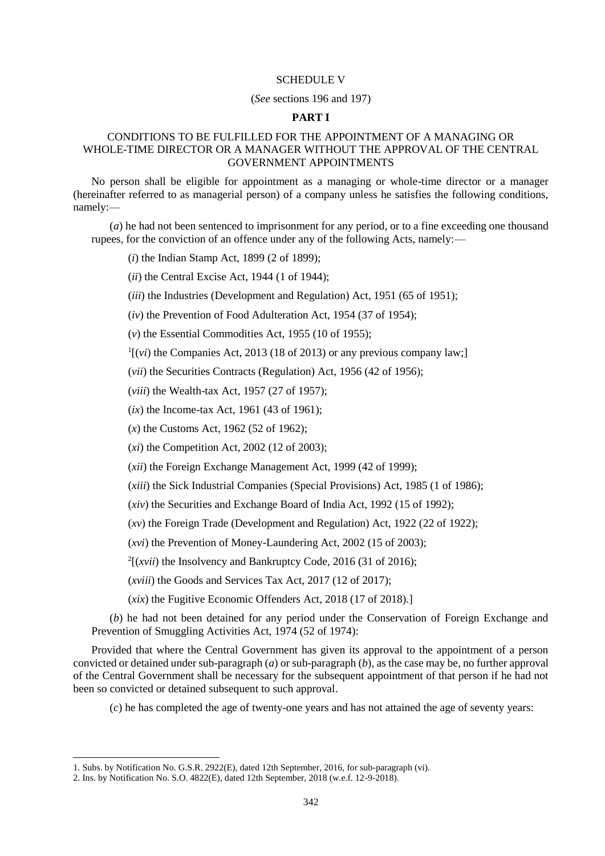### SCHEDULE V

### (*See* sections 196 and 197)

# **PART I**

# CONDITIONS TO BE FULFILLED FOR THE APPOINTMENT OF A MANAGING OR WHOLE-TIME DIRECTOR OR A MANAGER WITHOUT THE APPROVAL OF THE CENTRAL GOVERNMENT APPOINTMENTS

No person shall be eligible for appointment as a managing or whole-time director or a manager (hereinafter referred to as managerial person) of a company unless he satisfies the following conditions, namely:—

(*a*) he had not been sentenced to imprisonment for any period, or to a fine exceeding one thousand rupees, for the conviction of an offence under any of the following Acts, namely:—

(*i*) the Indian Stamp Act, 1899 (2 of 1899);

(*ii*) the Central Excise Act, 1944 (1 of 1944);

(*iii*) the Industries (Development and Regulation) Act, 1951 (65 of 1951);

(*iv*) the Prevention of Food Adulteration Act, 1954 (37 of 1954);

(*v*) the Essential Commodities Act, 1955 (10 of 1955);

 $\frac{1}{1}$ [(*vi*) the Companies Act, 2013 (18 of 2013) or any previous company law;]

(*vii*) the Securities Contracts (Regulation) Act, 1956 (42 of 1956);

(*viii*) the Wealth-tax Act, 1957 (27 of 1957);

(*ix*) the Income-tax Act, 1961 (43 of 1961);

(*x*) the Customs Act, 1962 (52 of 1962);

(*xi*) the Competition Act, 2002 (12 of 2003);

(*xii*) the Foreign Exchange Management Act, 1999 (42 of 1999);

(*xiii*) the Sick Industrial Companies (Special Provisions) Act, 1985 (1 of 1986);

(*xiv*) the Securities and Exchange Board of India Act, 1992 (15 of 1992);

(*xv*) the Foreign Trade (Development and Regulation) Act, 1922 (22 of 1922);

(*xvi*) the Prevention of Money-Laundering Act, 2002 (15 of 2003);

 $2[(xvii)$  the Insolvency and Bankruptcy Code, 2016 (31 of 2016);

(*xviii*) the Goods and Services Tax Act, 2017 (12 of 2017);

(*xix*) the Fugitive Economic Offenders Act, 2018 (17 of 2018).]

(*b*) he had not been detained for any period under the Conservation of Foreign Exchange and Prevention of Smuggling Activities Act, 1974 (52 of 1974):

Provided that where the Central Government has given its approval to the appointment of a person convicted or detained under sub-paragraph (*a*) or sub-paragraph (*b*), as the case may be, no further approval of the Central Government shall be necessary for the subsequent appointment of that person if he had not been so convicted or detained subsequent to such approval.

(*c*) he has completed the age of twenty-one years and has not attained the age of seventy years:

1

<sup>1.</sup> Subs. by Notification No. G.S.R. 2922(E), dated 12th September, 2016, for sub-paragraph (vi).

<sup>2.</sup> Ins. by Notification No. S.O. 4822(E), dated 12th September, 2018 (w.e.f. 12-9-2018).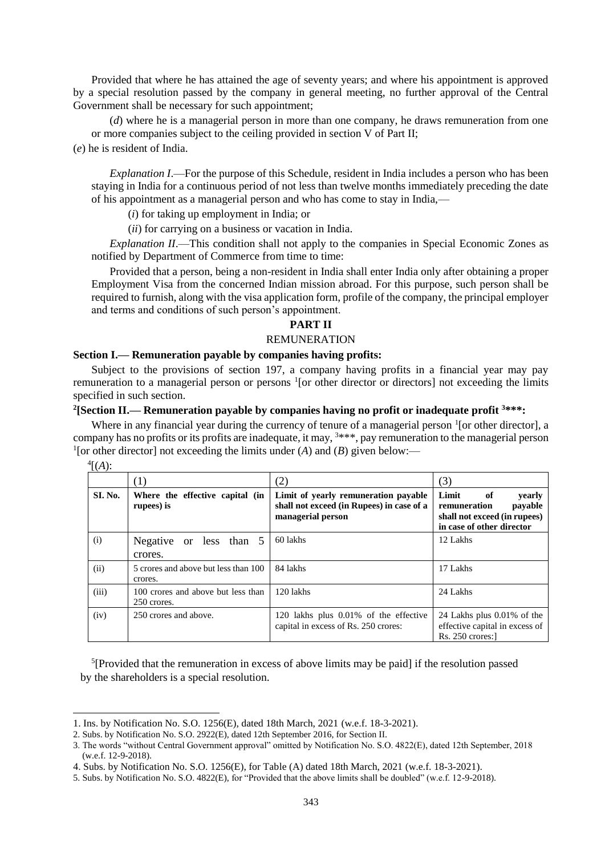Provided that where he has attained the age of seventy years; and where his appointment is approved by a special resolution passed by the company in general meeting, no further approval of the Central Government shall be necessary for such appointment;

(*d*) where he is a managerial person in more than one company, he draws remuneration from one or more companies subject to the ceiling provided in section V of Part II;

(*e*) he is resident of India.

*Explanation I*.—For the purpose of this Schedule, resident in India includes a person who has been staying in India for a continuous period of not less than twelve months immediately preceding the date of his appointment as a managerial person and who has come to stay in India,—

(*i*) for taking up employment in India; or

(*ii*) for carrying on a business or vacation in India.

*Explanation II*.—This condition shall not apply to the companies in Special Economic Zones as notified by Department of Commerce from time to time:

Provided that a person, being a non-resident in India shall enter India only after obtaining a proper Employment Visa from the concerned Indian mission abroad. For this purpose, such person shall be required to furnish, along with the visa application form, profile of the company, the principal employer and terms and conditions of such person's appointment.

## **PART II**

# REMUNERATION

## **Section I.— Remuneration payable by companies having profits:**

Subject to the provisions of section 197, a company having profits in a financial year may pay remuneration to a managerial person or persons <sup>1</sup>[or other director or directors] not exceeding the limits specified in such section.

## **2 [Section II.— Remuneration payable by companies having no profit or inadequate profit <sup>3</sup>\*\*\*:**

Where in any financial year during the currency of tenure of a managerial person <sup>1</sup>[or other director], a company has no profits or its profits are inadequate, it may, <sup>3</sup>\*\*\*, pay remuneration to the managerial person <sup>1</sup>[or other director] not exceeding the limits under (*A*) and (*B*) given below:—

| ${}^4[(A):$ |                                                   |                                                                                                        |                                                                                                               |
|-------------|---------------------------------------------------|--------------------------------------------------------------------------------------------------------|---------------------------------------------------------------------------------------------------------------|
|             | (1)                                               | (2)                                                                                                    | (3)                                                                                                           |
| SI. No.     | Where the effective capital (in<br>rupees) is     | Limit of yearly remuneration payable<br>shall not exceed (in Rupees) in case of a<br>managerial person | Limit<br>of<br>yearly<br>remuneration<br>payable<br>shall not exceed (in rupees)<br>in case of other director |
| (i)         | Negative or less than 5<br>crores.                | 60 lakhs                                                                                               | 12 Lakhs                                                                                                      |
| (ii)        | 5 crores and above but less than 100<br>crores.   | 84 lakhs                                                                                               | 17 Lakhs                                                                                                      |
| (iii)       | 100 crores and above but less than<br>250 crores. | $120$ lakhs                                                                                            | 24 Lakhs                                                                                                      |
| (iv)        | 250 crores and above.                             | 120 lakhs plus 0.01% of the effective<br>capital in excess of Rs. 250 crores:                          | 24 Lakhs plus 0.01% of the<br>effective capital in excess of<br>Rs. 250 crores:1                              |

<sup>5</sup>[Provided that the remuneration in excess of above limits may be paid] if the resolution passed by the shareholders is a special resolution.

-

<sup>1.</sup> Ins. by Notification No. S.O. 1256(E), dated 18th March, 2021 (w.e.f. 18-3-2021).

<sup>2.</sup> Subs. by Notification No. S.O. 2922(E), dated 12th September 2016, for Section II.

<sup>3.</sup> The words "without Central Government approval" omitted by Notification No. S.O. 4822(E), dated 12th September, 2018 (w.e.f. 12-9-2018).

<sup>4.</sup> Subs. by Notification No. S.O. 1256(E), for Table (A) dated 18th March, 2021 (w.e.f. 18-3-2021).

<sup>5.</sup> Subs. by Notification No. S.O. 4822(E), for "Provided that the above limits shall be doubled" (w.e.f. 12-9-2018).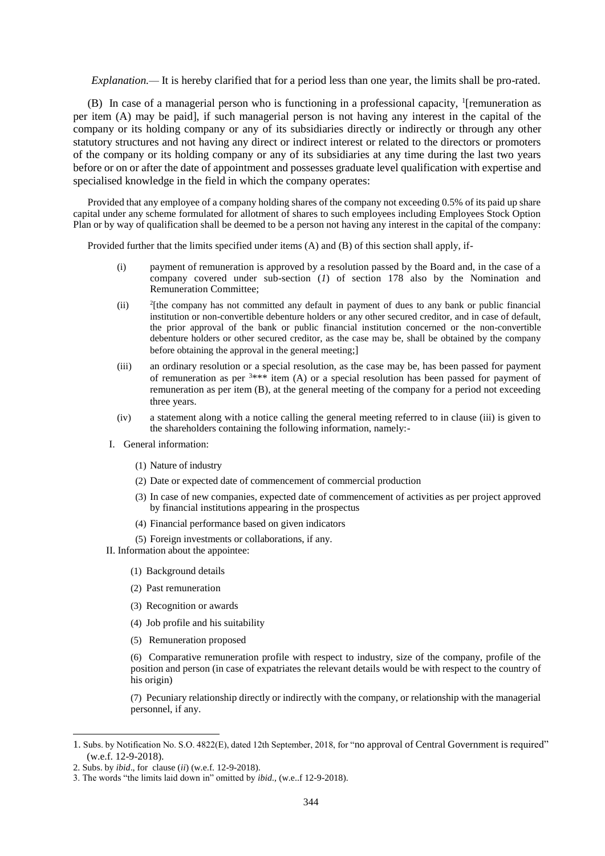*Explanation.*—It is hereby clarified that for a period less than one year, the limits shall be pro-rated.

(B) In case of a managerial person who is functioning in a professional capacity, <sup>1</sup>[remuneration as per item (A) may be paid], if such managerial person is not having any interest in the capital of the company or its holding company or any of its subsidiaries directly or indirectly or through any other statutory structures and not having any direct or indirect interest or related to the directors or promoters of the company or its holding company or any of its subsidiaries at any time during the last two years before or on or after the date of appointment and possesses graduate level qualification with expertise and specialised knowledge in the field in which the company operates:

Provided that any employee of a company holding shares of the company not exceeding 0.5% of its paid up share capital under any scheme formulated for allotment of shares to such employees including Employees Stock Option Plan or by way of qualification shall be deemed to be a person not having any interest in the capital of the company:

Provided further that the limits specified under items (A) and (B) of this section shall apply, if-

- (i) payment of remuneration is approved by a resolution passed by the Board and, in the case of a company covered under sub-section (*1*) of section 178 also by the Nomination and Remuneration Committee;
- $(ii)$  $^{2}$ [the company has not committed any default in payment of dues to any bank or public financial institution or non-convertible debenture holders or any other secured creditor, and in case of default, the prior approval of the bank or public financial institution concerned or the non-convertible debenture holders or other secured creditor, as the case may be, shall be obtained by the company before obtaining the approval in the general meeting;]
- (iii) an ordinary resolution or a special resolution, as the case may be, has been passed for payment of remuneration as per  $3***$  item (A) or a special resolution has been passed for payment of remuneration as per item (B), at the general meeting of the company for a period not exceeding three years.
- (iv) a statement along with a notice calling the general meeting referred to in clause (iii) is given to the shareholders containing the following information, namely:-
- I. General information:
	- (1) Nature of industry
	- (2) Date or expected date of commencement of commercial production
	- (3) In case of new companies, expected date of commencement of activities as per project approved by financial institutions appearing in the prospectus
	- (4) Financial performance based on given indicators

(5) Foreign investments or collaborations, if any.

II. Information about the appointee:

- (1) Background details
- (2) Past remuneration
- (3) Recognition or awards
- (4) Job profile and his suitability
- (5) Remuneration proposed

(6) Comparative remuneration profile with respect to industry, size of the company, profile of the position and person (in case of expatriates the relevant details would be with respect to the country of his origin)

(7) Pecuniary relationship directly or indirectly with the company, or relationship with the managerial personnel, if any.

-

<sup>1.</sup> Subs. by Notification No. S.O. 4822(E), dated 12th September, 2018, for "no approval of Central Government is required" (w.e.f. 12-9-2018).

<sup>2.</sup> Subs. by *ibid*., for clause (*ii*) (w.e.f. 12-9-2018).

<sup>3.</sup> The words "the limits laid down in" omitted by *ibid.,* (w.e..f 12-9-2018).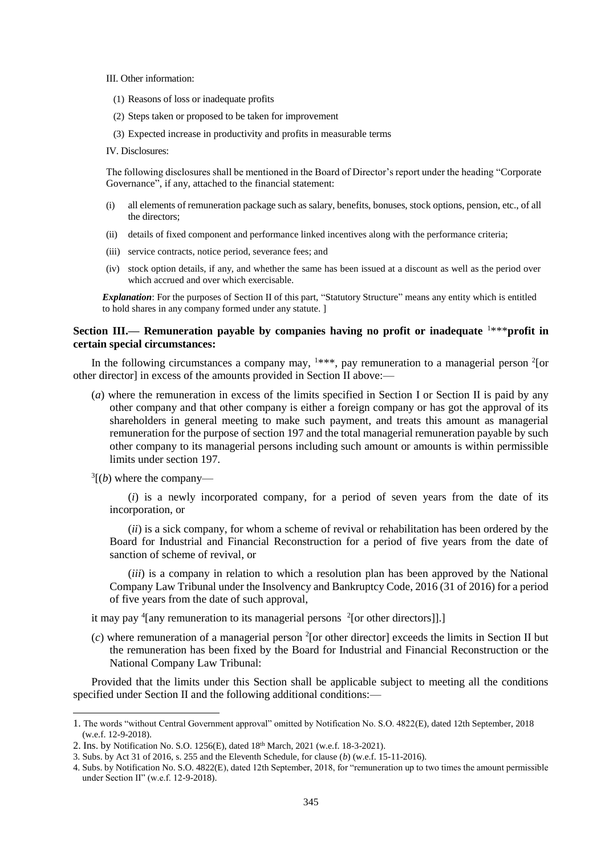#### III. Other information:

- (1) Reasons of loss or inadequate profits
- (2) Steps taken or proposed to be taken for improvement
- (3) Expected increase in productivity and profits in measurable terms

IV. Disclosures:

The following disclosures shall be mentioned in the Board of Director's report under the heading "Corporate Governance", if any, attached to the financial statement:

- (i) all elements of remuneration package such as salary, benefits, bonuses, stock options, pension, etc., of all the directors;
- (ii) details of fixed component and performance linked incentives along with the performance criteria;
- (iii) service contracts, notice period, severance fees; and
- (iv) stock option details, if any, and whether the same has been issued at a discount as well as the period over which accrued and over which exercisable.

*Explanation*: For the purposes of Section II of this part, "Statutory Structure" means any entity which is entitled to hold shares in any company formed under any statute. ]

## **Section III.— Remuneration payable by companies having no profit or inadequate** <sup>1</sup>\*\*\***profit in certain special circumstances:**

In the following circumstances a company may,  $1***$ , pay remuneration to a managerial person  $2$ [or other director] in excess of the amounts provided in Section II above:—

- (*a*) where the remuneration in excess of the limits specified in Section I or Section II is paid by any other company and that other company is either a foreign company or has got the approval of its shareholders in general meeting to make such payment, and treats this amount as managerial remuneration for the purpose of section 197 and the total managerial remuneration payable by such other company to its managerial persons including such amount or amounts is within permissible limits under section 197.
- $3[(b)$  where the company—

-

(*i*) is a newly incorporated company, for a period of seven years from the date of its incorporation, or

(*ii*) is a sick company, for whom a scheme of revival or rehabilitation has been ordered by the Board for Industrial and Financial Reconstruction for a period of five years from the date of sanction of scheme of revival, or

(*iii*) is a company in relation to which a resolution plan has been approved by the National Company Law Tribunal under the Insolvency and Bankruptcy Code, 2016 (31 of 2016) for a period of five years from the date of such approval,

it may pay  $\rm ^4$ [any remuneration to its managerial persons  $\rm ^2$ [or other directors]].]

 $(c)$  where remuneration of a managerial person <sup>2</sup>[or other director] exceeds the limits in Section II but the remuneration has been fixed by the Board for Industrial and Financial Reconstruction or the National Company Law Tribunal:

Provided that the limits under this Section shall be applicable subject to meeting all the conditions specified under Section II and the following additional conditions:-

<sup>1.</sup> The words "without Central Government approval" omitted by Notification No. S.O. 4822(E), dated 12th September, 2018 (w.e.f. 12-9-2018).

<sup>2.</sup> Ins. by Notification No. S.O. 1256(E), dated 18th March, 2021 (w.e.f. 18-3-2021).

<sup>3.</sup> Subs. by Act 31 of 2016, s. 255 and the Eleventh Schedule, for clause (*b*) (w.e.f. 15-11-2016).

<sup>4.</sup> Subs. by Notification No. S.O. 4822(E), dated 12th September, 2018, for "remuneration up to two times the amount permissible under Section II" (w.e.f. 12-9-2018).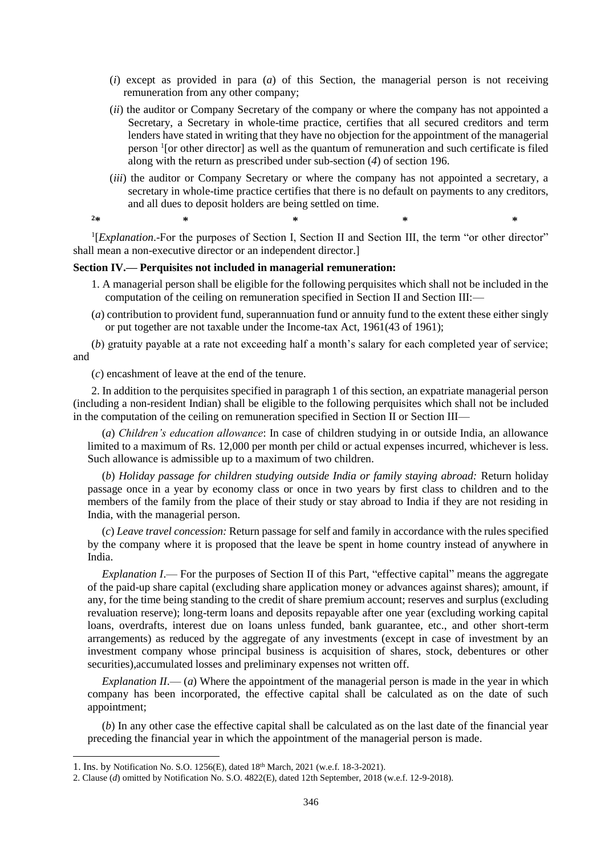- (*i*) except as provided in para (*a*) of this Section, the managerial person is not receiving remuneration from any other company;
- (*ii*) the auditor or Company Secretary of the company or where the company has not appointed a Secretary, a Secretary in whole-time practice, certifies that all secured creditors and term lenders have stated in writing that they have no objection for the appointment of the managerial person <sup>1</sup>[or other director] as well as the quantum of remuneration and such certificate is filed along with the return as prescribed under sub-section (*4*) of section 196.
- (*iii*) the auditor or Company Secretary or where the company has not appointed a secretary, a secretary in whole-time practice certifies that there is no default on payments to any creditors, and all dues to deposit holders are being settled on time.
- **<sup>2</sup>\* \* \* \* \***

<sup>1</sup>[Explanation.-For the purposes of Section I, Section II and Section III, the term "or other director" shall mean a non-executive director or an independent director.]

### **Section IV.— Perquisites not included in managerial remuneration:**

- 1. A managerial person shall be eligible for the following perquisites which shall not be included in the computation of the ceiling on remuneration specified in Section II and Section III:—
- (*a*) contribution to provident fund, superannuation fund or annuity fund to the extent these either singly or put together are not taxable under the Income-tax Act, 1961(43 of 1961);

(*b*) gratuity payable at a rate not exceeding half a month's salary for each completed year of service; and

(*c*) encashment of leave at the end of the tenure.

2. In addition to the perquisites specified in paragraph 1 of this section, an expatriate managerial person (including a non-resident Indian) shall be eligible to the following perquisites which shall not be included in the computation of the ceiling on remuneration specified in Section II or Section III—

(*a*) *Children's education allowance*: In case of children studying in or outside India, an allowance limited to a maximum of Rs. 12,000 per month per child or actual expenses incurred, whichever is less. Such allowance is admissible up to a maximum of two children.

(*b*) *Holiday passage for children studying outside India or family staying abroad:* Return holiday passage once in a year by economy class or once in two years by first class to children and to the members of the family from the place of their study or stay abroad to India if they are not residing in India, with the managerial person.

(*c*) *Leave travel concession:* Return passage for self and family in accordance with the rules specified by the company where it is proposed that the leave be spent in home country instead of anywhere in India.

*Explanation I.*— For the purposes of Section II of this Part, "effective capital" means the aggregate of the paid-up share capital (excluding share application money or advances against shares); amount, if any, for the time being standing to the credit of share premium account; reserves and surplus (excluding revaluation reserve); long-term loans and deposits repayable after one year (excluding working capital loans, overdrafts, interest due on loans unless funded, bank guarantee, etc., and other short-term arrangements) as reduced by the aggregate of any investments (except in case of investment by an investment company whose principal business is acquisition of shares, stock, debentures or other securities),accumulated losses and preliminary expenses not written off.

*Explanation II.— (a)* Where the appointment of the managerial person is made in the year in which company has been incorporated, the effective capital shall be calculated as on the date of such appointment;

(*b*) In any other case the effective capital shall be calculated as on the last date of the financial year preceding the financial year in which the appointment of the managerial person is made.

-

<sup>1.</sup> Ins. by Notification No. S.O. 1256(E), dated 18th March, 2021 (w.e.f. 18-3-2021).

<sup>2.</sup> Clause (*d*) omitted by Notification No. S.O. 4822(E), dated 12th September, 2018 (w.e.f. 12-9-2018).